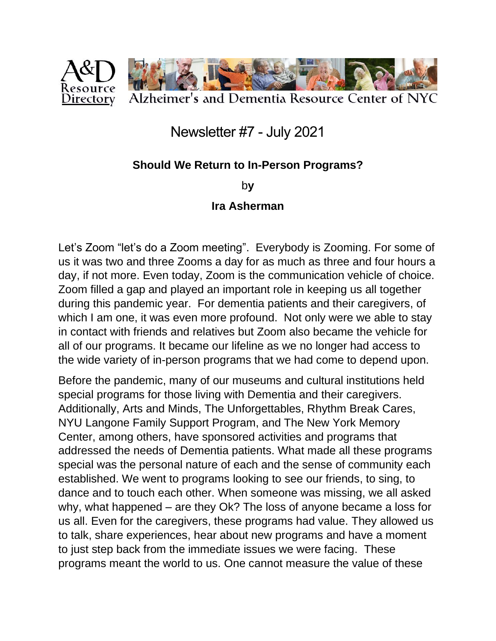

## Newsletter #7 - July 2021

## **Should We Return to In-Person Programs?**

b**y**

## **Ira Asherman**

Let's Zoom "let's do a Zoom meeting". Everybody is Zooming. For some of us it was two and three Zooms a day for as much as three and four hours a day, if not more. Even today, Zoom is the communication vehicle of choice. Zoom filled a gap and played an important role in keeping us all together during this pandemic year. For dementia patients and their caregivers, of which I am one, it was even more profound. Not only were we able to stay in contact with friends and relatives but Zoom also became the vehicle for all of our programs. It became our lifeline as we no longer had access to the wide variety of in-person programs that we had come to depend upon.

Before the pandemic, many of our museums and cultural institutions held special programs for those living with Dementia and their caregivers. Additionally, Arts and Minds, The Unforgettables, Rhythm Break Cares, NYU Langone Family Support Program, and The New York Memory Center, among others, have sponsored activities and programs that addressed the needs of Dementia patients. What made all these programs special was the personal nature of each and the sense of community each established. We went to programs looking to see our friends, to sing, to dance and to touch each other. When someone was missing, we all asked why, what happened – are they Ok? The loss of anyone became a loss for us all. Even for the caregivers, these programs had value. They allowed us to talk, share experiences, hear about new programs and have a moment to just step back from the immediate issues we were facing. These programs meant the world to us. One cannot measure the value of these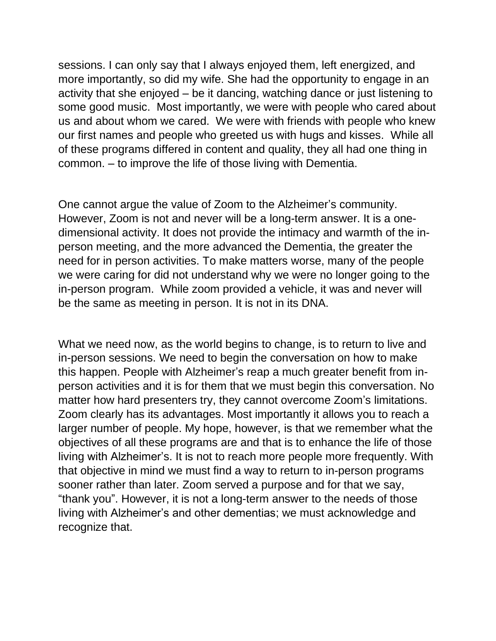sessions. I can only say that I always enjoyed them, left energized, and more importantly, so did my wife. She had the opportunity to engage in an activity that she enjoyed – be it dancing, watching dance or just listening to some good music. Most importantly, we were with people who cared about us and about whom we cared. We were with friends with people who knew our first names and people who greeted us with hugs and kisses. While all of these programs differed in content and quality, they all had one thing in common. – to improve the life of those living with Dementia.

One cannot argue the value of Zoom to the Alzheimer's community. However, Zoom is not and never will be a long-term answer. It is a onedimensional activity. It does not provide the intimacy and warmth of the inperson meeting, and the more advanced the Dementia, the greater the need for in person activities. To make matters worse, many of the people we were caring for did not understand why we were no longer going to the in-person program. While zoom provided a vehicle, it was and never will be the same as meeting in person. It is not in its DNA.

What we need now, as the world begins to change, is to return to live and in-person sessions. We need to begin the conversation on how to make this happen. People with Alzheimer's reap a much greater benefit from inperson activities and it is for them that we must begin this conversation. No matter how hard presenters try, they cannot overcome Zoom's limitations. Zoom clearly has its advantages. Most importantly it allows you to reach a larger number of people. My hope, however, is that we remember what the objectives of all these programs are and that is to enhance the life of those living with Alzheimer's. It is not to reach more people more frequently. With that objective in mind we must find a way to return to in-person programs sooner rather than later. Zoom served a purpose and for that we say, "thank you". However, it is not a long-term answer to the needs of those living with Alzheimer's and other dementias; we must acknowledge and recognize that.